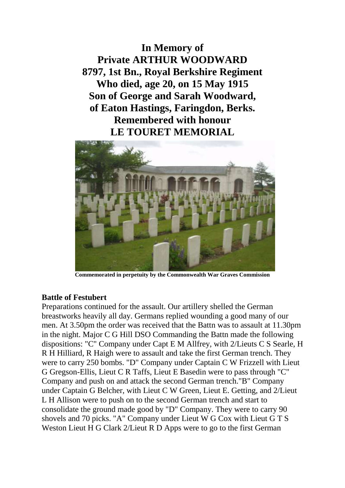**In Memory of Private ARTHUR WOODWARD 8797, 1st Bn., Royal Berkshire Regiment Who died, age 20, on 15 May 1915 Son of George and Sarah Woodward, of Eaton Hastings, Faringdon, Berks. Remembered with honour LE TOURET MEMORIAL**



**Commemorated in perpetuity by the Commonwealth War Graves Commission**

## **Battle of Festubert**

Preparations continued for the assault. Our artillery shelled the German breastworks heavily all day. Germans replied wounding a good many of our men. At 3.50pm the order was received that the Battn was to assault at 11.30pm in the night. Major C G Hill DSO Commanding the Battn made the following dispositions: "C" Company under Capt E M Allfrey, with 2/Lieuts C S Searle, H R H Hilliard, R Haigh were to assault and take the first German trench. They were to carry 250 bombs. "D" Company under Captain C W Frizzell with Lieut G Gregson-Ellis, Lieut C R Taffs, Lieut E Basedin were to pass through "C" Company and push on and attack the second German trench."B" Company under Captain G Belcher, with Lieut C W Green, Lieut E. Getting, and 2/Lieut L H Allison were to push on to the second German trench and start to consolidate the ground made good by "D" Company. They were to carry 90 shovels and 70 picks. "A" Company under Lieut W G Cox with Lieut G T S Weston Lieut H G Clark 2/Lieut R D Apps were to go to the first German